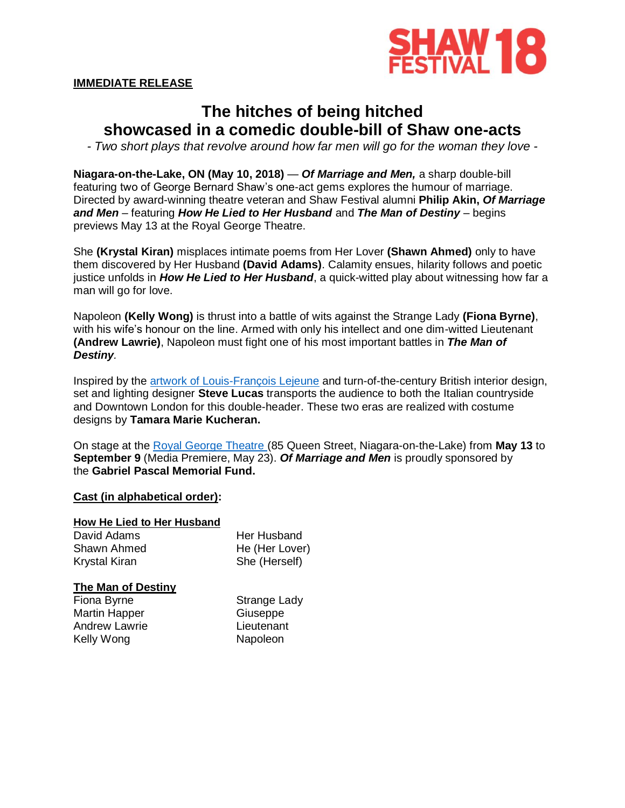

# **IMMEDIATE RELEASE**

# **The hitches of being hitched showcased in a comedic double-bill of Shaw one-acts**

*- Two short plays that revolve around how far men will go for the woman they love -*

**Niagara-on-the-Lake, ON (May 10, 2018)** — *Of Marriage and Men,* a sharp double-bill featuring two of George Bernard Shaw's one-act gems explores the humour of marriage. Directed by award-winning theatre veteran and Shaw Festival alumni **Philip Akin,** *Of Marriage and Men* – featuring *How He Lied to Her Husband* and *The Man of Destiny* – begins previews May 13 at the Royal George Theatre.

She **(Krystal Kiran)** misplaces intimate poems from Her Lover **(Shawn Ahmed)** only to have them discovered by Her Husband **(David Adams)**. Calamity ensues, hilarity follows and poetic justice unfolds in *How He Lied to Her Husband*, a quick-witted play about witnessing how far a man will go for love.

Napoleon **(Kelly Wong)** is thrust into a battle of wits against the Strange Lady **(Fiona Byrne)**, with his wife's honour on the line. Armed with only his intellect and one dim-witted Lieutenant **(Andrew Lawrie)**, Napoleon must fight one of his most important battles in *The Man of Destiny.* 

Inspired by the [artwork of Louis-François Lejeune](https://upload.wikimedia.org/wikipedia/commons/thumb/4/45/General_Bonaparte_giving_orders_at_the_Battle_of_Lodi.jpg/1200px-General_Bonaparte_giving_orders_at_the_Battle_of_Lodi.jpg) and turn-of-the-century British interior design, set and lighting designer **Steve Lucas** transports the audience to both the Italian countryside and Downtown London for this double-header. These two eras are realized with costume designs by **Tamara Marie Kucheran.**

On stage at the [Royal George Theatre](https://www.shawfest.com/visit/theatres/#royal-george-theatre) (85 Queen Street, Niagara-on-the-Lake) from **May 13** to **September 9** (Media Premiere, May 23). *Of Marriage and Men* is proudly sponsored by the **Gabriel Pascal Memorial Fund.**

## **Cast (in alphabetical order):**

## **How He Lied to Her Husband**

| David Adams   | Her Husband    |
|---------------|----------------|
| Shawn Ahmed   | He (Her Lover) |
| Krystal Kiran | She (Herself)  |

#### **The Man of Destiny**

| Fiona Byrne   | Strange Lady |
|---------------|--------------|
| Martin Happer | Giuseppe     |
| Andrew Lawrie | Lieutenant   |
| Kelly Wong    | Napoleon     |
|               |              |